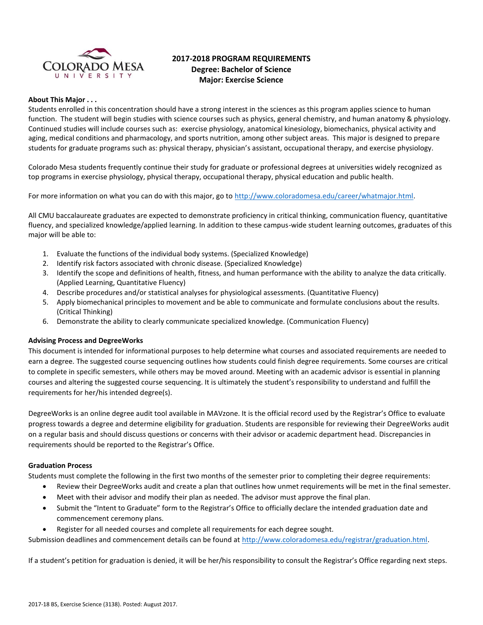

# **2017-2018 PROGRAM REQUIREMENTS Degree: Bachelor of Science Major: Exercise Science**

### **About This Major . . .**

Students enrolled in this concentration should have a strong interest in the sciences as this program applies science to human function. The student will begin studies with science courses such as physics, general chemistry, and human anatomy & physiology. Continued studies will include courses such as: exercise physiology, anatomical kinesiology, biomechanics, physical activity and aging, medical conditions and pharmacology, and sports nutrition, among other subject areas. This major is designed to prepare students for graduate programs such as: physical therapy, physician's assistant, occupational therapy, and exercise physiology.

Colorado Mesa students frequently continue their study for graduate or professional degrees at universities widely recognized as top programs in exercise physiology, physical therapy, occupational therapy, physical education and public health.

For more information on what you can do with this major, go to [http://www.coloradomesa.edu/career/whatmajor.html.](http://www.coloradomesa.edu/career/whatmajor.html)

All CMU baccalaureate graduates are expected to demonstrate proficiency in critical thinking, communication fluency, quantitative fluency, and specialized knowledge/applied learning. In addition to these campus-wide student learning outcomes, graduates of this major will be able to:

- 1. Evaluate the functions of the individual body systems. (Specialized Knowledge)
- 2. Identify risk factors associated with chronic disease. (Specialized Knowledge)
- 3. Identify the scope and definitions of health, fitness, and human performance with the ability to analyze the data critically. (Applied Learning, Quantitative Fluency)
- 4. Describe procedures and/or statistical analyses for physiological assessments. (Quantitative Fluency)
- 5. Apply biomechanical principles to movement and be able to communicate and formulate conclusions about the results. (Critical Thinking)
- 6. Demonstrate the ability to clearly communicate specialized knowledge. (Communication Fluency)

#### **Advising Process and DegreeWorks**

This document is intended for informational purposes to help determine what courses and associated requirements are needed to earn a degree. The suggested course sequencing outlines how students could finish degree requirements. Some courses are critical to complete in specific semesters, while others may be moved around. Meeting with an academic advisor is essential in planning courses and altering the suggested course sequencing. It is ultimately the student's responsibility to understand and fulfill the requirements for her/his intended degree(s).

DegreeWorks is an online degree audit tool available in MAVzone. It is the official record used by the Registrar's Office to evaluate progress towards a degree and determine eligibility for graduation. Students are responsible for reviewing their DegreeWorks audit on a regular basis and should discuss questions or concerns with their advisor or academic department head. Discrepancies in requirements should be reported to the Registrar's Office.

#### **Graduation Process**

Students must complete the following in the first two months of the semester prior to completing their degree requirements:

- Review their DegreeWorks audit and create a plan that outlines how unmet requirements will be met in the final semester.
- Meet with their advisor and modify their plan as needed. The advisor must approve the final plan.
- Submit the "Intent to Graduate" form to the Registrar's Office to officially declare the intended graduation date and commencement ceremony plans.
- Register for all needed courses and complete all requirements for each degree sought.

Submission deadlines and commencement details can be found at [http://www.coloradomesa.edu/registrar/graduation.html.](http://www.coloradomesa.edu/registrar/graduation.html)

If a student's petition for graduation is denied, it will be her/his responsibility to consult the Registrar's Office regarding next steps.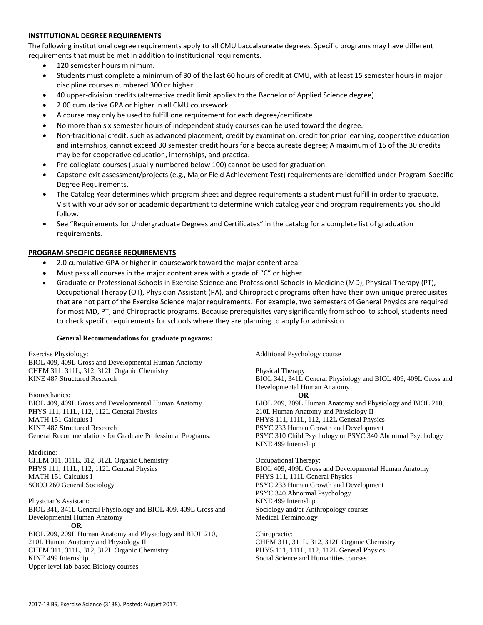### **INSTITUTIONAL DEGREE REQUIREMENTS**

The following institutional degree requirements apply to all CMU baccalaureate degrees. Specific programs may have different requirements that must be met in addition to institutional requirements.

- 120 semester hours minimum.
- Students must complete a minimum of 30 of the last 60 hours of credit at CMU, with at least 15 semester hours in major discipline courses numbered 300 or higher.
- 40 upper-division credits (alternative credit limit applies to the Bachelor of Applied Science degree).
- 2.00 cumulative GPA or higher in all CMU coursework.
- A course may only be used to fulfill one requirement for each degree/certificate.
- No more than six semester hours of independent study courses can be used toward the degree.
- Non-traditional credit, such as advanced placement, credit by examination, credit for prior learning, cooperative education and internships, cannot exceed 30 semester credit hours for a baccalaureate degree; A maximum of 15 of the 30 credits may be for cooperative education, internships, and practica.
- Pre-collegiate courses (usually numbered below 100) cannot be used for graduation.
- Capstone exit assessment/projects (e.g., Major Field Achievement Test) requirements are identified under Program-Specific Degree Requirements.
- The Catalog Year determines which program sheet and degree requirements a student must fulfill in order to graduate. Visit with your advisor or academic department to determine which catalog year and program requirements you should follow.
- See "Requirements for Undergraduate Degrees and Certificates" in the catalog for a complete list of graduation requirements.

#### **PROGRAM-SPECIFIC DEGREE REQUIREMENTS**

- 2.0 cumulative GPA or higher in coursework toward the major content area.
- Must pass all courses in the major content area with a grade of "C" or higher.
- Graduate or Professional Schools in Exercise Science and Professional Schools in Medicine (MD), Physical Therapy (PT), Occupational Therapy (OT), Physician Assistant (PA), and Chiropractic programs often have their own unique prerequisites that are not part of the Exercise Science major requirements. For example, two semesters of General Physics are required for most MD, PT, and Chiropractic programs. Because prerequisites vary significantly from school to school, students need to check specific requirements for schools where they are planning to apply for admission.

#### **General Recommendations for graduate programs:**

Exercise Physiology: BIOL 409, 409L Gross and Developmental Human Anatomy CHEM 311, 311L, 312, 312L Organic Chemistry KINE 487 Structured Research

Biomechanics: BIOL 409, 409L Gross and Developmental Human Anatomy PHYS 111, 111L, 112, 112L General Physics MATH 151 Calculus I KINE 487 Structured Research General Recommendations for Graduate Professional Programs:

Medicine: CHEM 311, 311L, 312, 312L Organic Chemistry PHYS 111, 111L, 112, 112L General Physics MATH 151 Calculus I SOCO 260 General Sociology

Physician's Assistant: BIOL 341, 341L General Physiology and BIOL 409, 409L Gross and Developmental Human Anatomy **OR** BIOL 209, 209L Human Anatomy and Physiology and BIOL 210, 210L Human Anatomy and Physiology II CHEM 311, 311L, 312, 312L Organic Chemistry KINE 499 Internship

Additional Psychology course

Physical Therapy: BIOL 341, 341L General Physiology and BIOL 409, 409L Gross and Developmental Human Anatomy **OR** BIOL 209, 209L Human Anatomy and Physiology and BIOL 210, 210L Human Anatomy and Physiology II PHYS 111, 111L, 112, 112L General Physics PSYC 233 Human Growth and Development PSYC 310 Child Psychology or PSYC 340 Abnormal Psychology KINE 499 Internship

Occupational Therapy: BIOL 409, 409L Gross and Developmental Human Anatomy PHYS 111, 111L General Physics PSYC 233 Human Growth and Development PSYC 340 Abnormal Psychology KINE 499 Internship Sociology and/or Anthropology courses Medical Terminology

Chiropractic: CHEM 311, 311L, 312, 312L Organic Chemistry PHYS 111, 111L, 112, 112L General Physics Social Science and Humanities courses

Upper level lab-based Biology courses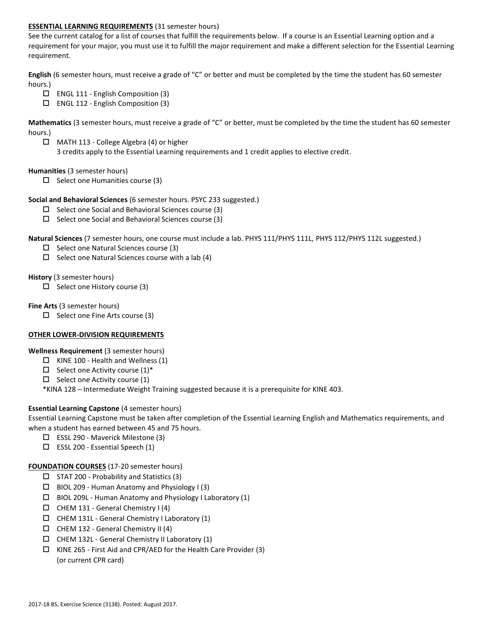### **ESSENTIAL LEARNING REQUIREMENTS** (31 semester hours)

See the current catalog for a list of courses that fulfill the requirements below. If a course is an Essential Learning option and a requirement for your major, you must use it to fulfill the major requirement and make a different selection for the Essential Learning requirement.

**English** (6 semester hours, must receive a grade of "C" or better and must be completed by the time the student has 60 semester hours.)

- $\Box$  ENGL 111 English Composition (3)
- $\Box$  ENGL 112 English Composition (3)

**Mathematics** (3 semester hours, must receive a grade of "C" or better, must be completed by the time the student has 60 semester hours.)

 MATH 113 - College Algebra (4) or higher 3 credits apply to the Essential Learning requirements and 1 credit applies to elective credit.

#### **Humanities** (3 semester hours)

 $\Box$  Select one Humanities course (3)

### **Social and Behavioral Sciences** (6 semester hours. PSYC 233 suggested.)

- $\Box$  Select one Social and Behavioral Sciences course (3)
- $\Box$  Select one Social and Behavioral Sciences course (3)

**Natural Sciences** (7 semester hours, one course must include a lab. PHYS 111/PHYS 111L, PHYS 112/PHYS 112L suggested.)

- $\Box$  Select one Natural Sciences course (3)
- $\Box$  Select one Natural Sciences course with a lab (4)

#### **History** (3 semester hours)

 $\Box$  Select one History course (3)

#### **Fine Arts** (3 semester hours)

 $\Box$  Select one Fine Arts course (3)

## **OTHER LOWER-DIVISION REQUIREMENTS**

#### **Wellness Requirement** (3 semester hours)

- $\Box$  KINE 100 Health and Wellness (1)
- $\Box$  Select one Activity course (1)\*
- $\Box$  Select one Activity course (1)

\*KINA 128 – Intermediate Weight Training suggested because it is a prerequisite for KINE 403.

## **Essential Learning Capstone** (4 semester hours)

Essential Learning Capstone must be taken after completion of the Essential Learning English and Mathematics requirements, and when a student has earned between 45 and 75 hours.

- ESSL 290 Maverick Milestone (3)
- $\square$  ESSL 200 Essential Speech (1)

#### **FOUNDATION COURSES** (17-20 semester hours)

- $\Box$  STAT 200 Probability and Statistics (3)
- $\Box$  BIOL 209 Human Anatomy and Physiology I (3)
- $\Box$  BIOL 209L Human Anatomy and Physiology I Laboratory (1)
- $\Box$  CHEM 131 General Chemistry I (4)
- $\Box$  CHEM 131L General Chemistry I Laboratory (1)
- $\Box$  CHEM 132 General Chemistry II (4)
- $\Box$  CHEM 132L General Chemistry II Laboratory (1)
- $\Box$  KINE 265 First Aid and CPR/AED for the Health Care Provider (3) (or current CPR card)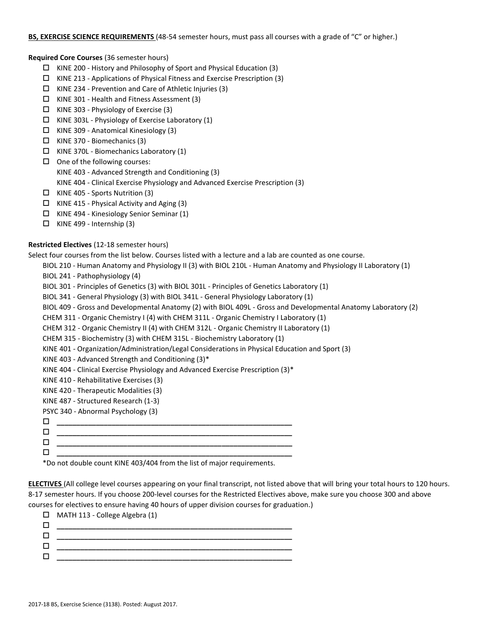### **BS, EXERCISE SCIENCE REQUIREMENTS** (48-54 semester hours, must pass all courses with a grade of "C" or higher.)

### **Required Core Courses** (36 semester hours)

- $\Box$  KINE 200 History and Philosophy of Sport and Physical Education (3)
- $\Box$  KINE 213 Applications of Physical Fitness and Exercise Prescription (3)
- $\Box$  KINE 234 Prevention and Care of Athletic Injuries (3)
- KINE 301 Health and Fitness Assessment (3)
- $\Box$  KINE 303 Physiology of Exercise (3)
- $\Box$  KINE 303L Physiology of Exercise Laboratory (1)
- KINE 309 Anatomical Kinesiology (3)
- KINE 370 Biomechanics (3)
- $\Box$  KINE 370L Biomechanics Laboratory (1)
- $\Box$  One of the following courses:
	- KINE 403 Advanced Strength and Conditioning (3)
	- KINE 404 Clinical Exercise Physiology and Advanced Exercise Prescription (3)
- $\Box$  KINE 405 Sports Nutrition (3)
- $\Box$  KINE 415 Physical Activity and Aging (3)
- $\Box$  KINE 494 Kinesiology Senior Seminar (1)
- $\Box$  KINE 499 Internship (3)

# **Restricted Electives** (12-18 semester hours)

Select four courses from the list below. Courses listed with a lecture and a lab are counted as one course.

- BIOL 210 Human Anatomy and Physiology II (3) with BIOL 210L Human Anatomy and Physiology II Laboratory (1)
- BIOL 241 Pathophysiology (4)
- BIOL 301 Principles of Genetics (3) with BIOL 301L Principles of Genetics Laboratory (1)
- BIOL 341 General Physiology (3) with BIOL 341L General Physiology Laboratory (1)
- BIOL 409 Gross and Developmental Anatomy (2) with BIOL 409L Gross and Developmental Anatomy Laboratory (2)

CHEM 311 - Organic Chemistry I (4) with CHEM 311L - Organic Chemistry I Laboratory (1)

- CHEM 312 Organic Chemistry II (4) with CHEM 312L Organic Chemistry II Laboratory (1)
- CHEM 315 Biochemistry (3) with CHEM 315L Biochemistry Laboratory (1)
- KINE 401 Organization/Administration/Legal Considerations in Physical Education and Sport (3)
- KINE 403 Advanced Strength and Conditioning (3)\*
- KINE 404 Clinical Exercise Physiology and Advanced Exercise Prescription (3)\*
- KINE 410 Rehabilitative Exercises (3)
- KINE 420 Therapeutic Modalities (3)
- KINE 487 Structured Research (1-3)
- PSYC 340 Abnormal Psychology (3)

 $\blacksquare$ 

 **\_\_\_\_\_\_\_\_\_\_\_\_\_\_\_\_\_\_\_\_\_\_\_\_\_\_\_\_\_\_\_\_\_\_\_\_\_\_\_\_\_\_\_\_\_\_\_\_\_\_\_\_\_\_\_\_\_\_\_\_ \_\_\_\_\_\_\_\_\_\_\_\_\_\_\_\_\_\_\_\_\_\_\_\_\_\_\_\_\_\_\_\_\_\_\_\_\_\_\_\_\_\_\_\_\_\_\_\_\_\_\_\_\_\_\_\_\_\_\_\_**

\*Do not double count KINE 403/404 from the list of major requirements.

**\_\_\_\_\_\_\_\_\_\_\_\_\_\_\_\_\_\_\_\_\_\_\_\_\_\_\_\_\_\_\_\_\_\_\_\_\_\_\_\_\_\_\_\_\_\_\_\_\_\_\_\_\_\_\_\_\_\_\_\_**

**ELECTIVES** (All college level courses appearing on your final transcript, not listed above that will bring your total hours to 120 hours. 8-17 semester hours. If you choose 200-level courses for the Restricted Electives above, make sure you choose 300 and above courses for electives to ensure having 40 hours of upper division courses for graduation.)